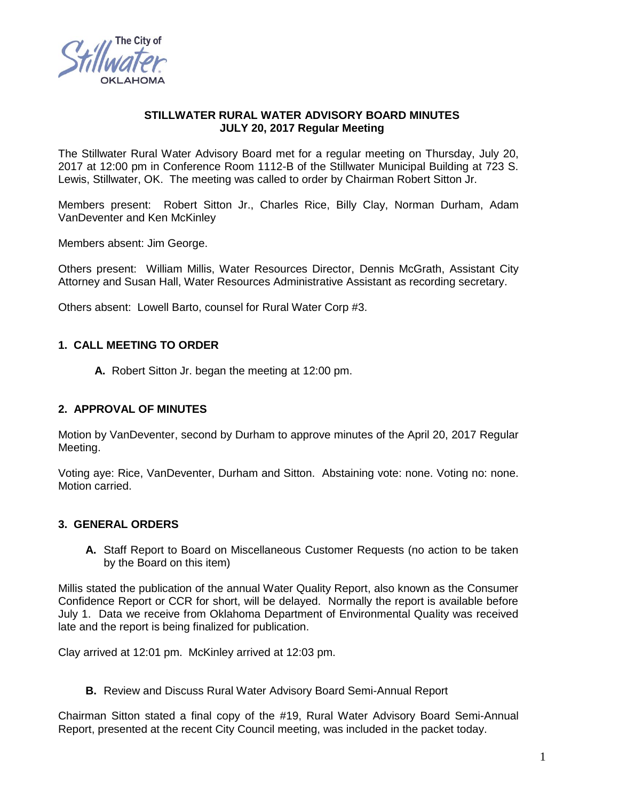

### **STILLWATER RURAL WATER ADVISORY BOARD MINUTES JULY 20, 2017 Regular Meeting**

The Stillwater Rural Water Advisory Board met for a regular meeting on Thursday, July 20, 2017 at 12:00 pm in Conference Room 1112-B of the Stillwater Municipal Building at 723 S. Lewis, Stillwater, OK. The meeting was called to order by Chairman Robert Sitton Jr.

Members present: Robert Sitton Jr., Charles Rice, Billy Clay, Norman Durham, Adam VanDeventer and Ken McKinley

Members absent: Jim George.

Others present: William Millis, Water Resources Director, Dennis McGrath, Assistant City Attorney and Susan Hall, Water Resources Administrative Assistant as recording secretary.

Others absent: Lowell Barto, counsel for Rural Water Corp #3.

### **1. CALL MEETING TO ORDER**

**A.** Robert Sitton Jr. began the meeting at 12:00 pm.

# **2. APPROVAL OF MINUTES**

Motion by VanDeventer, second by Durham to approve minutes of the April 20, 2017 Regular Meeting.

Voting aye: Rice, VanDeventer, Durham and Sitton. Abstaining vote: none. Voting no: none. Motion carried.

#### **3. GENERAL ORDERS**

**A.** Staff Report to Board on Miscellaneous Customer Requests (no action to be taken by the Board on this item)

Millis stated the publication of the annual Water Quality Report, also known as the Consumer Confidence Report or CCR for short, will be delayed. Normally the report is available before July 1. Data we receive from Oklahoma Department of Environmental Quality was received late and the report is being finalized for publication.

Clay arrived at 12:01 pm. McKinley arrived at 12:03 pm.

**B.** Review and Discuss Rural Water Advisory Board Semi-Annual Report

Chairman Sitton stated a final copy of the #19, Rural Water Advisory Board Semi-Annual Report, presented at the recent City Council meeting, was included in the packet today.